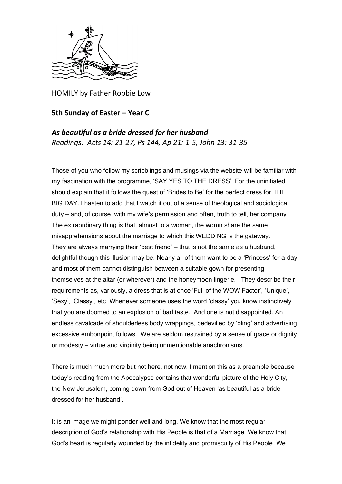

HOMILY by Father Robbie Low

## **5th Sunday of Easter – Year C**

*As beautiful as a bride dressed for her husband Readings: Acts 14: 21-27, Ps 144, Ap 21: 1-5, John 13: 31-35*

Those of you who follow my scribblings and musings via the website will be familiar with my fascination with the programme, 'SAY YES TO THE DRESS'. For the uninitiated I should explain that it follows the quest of 'Brides to Be' for the perfect dress for THE BIG DAY. I hasten to add that I watch it out of a sense of theological and sociological duty – and, of course, with my wife's permission and often, truth to tell, her company. The extraordinary thing is that, almost to a woman, the womn share the same misapprehensions about the marriage to which this WEDDING is the gateway. They are always marrying their 'best friend' – that is not the same as a husband, delightful though this illusion may be. Nearly all of them want to be a 'Princess' for a day and most of them cannot distinguish between a suitable gown for presenting themselves at the altar (or wherever) and the honeymoon lingerie. They describe their requirements as, variously, a dress that is at once 'Full of the WOW Factor', 'Unique', 'Sexy', 'Classy', etc. Whenever someone uses the word 'classy' you know instinctively that you are doomed to an explosion of bad taste. And one is not disappointed. An endless cavalcade of shoulderless body wrappings, bedevilled by 'bling' and advertising excessive embonpoint follows. We are seldom restrained by a sense of grace or dignity or modesty – virtue and virginity being unmentionable anachronisms.

There is much much more but not here, not now. I mention this as a preamble because today's reading from the Apocalypse contains that wonderful picture of the Holy City, the New Jerusalem, coming down from God out of Heaven 'as beautiful as a bride dressed for her husband'.

It is an image we might ponder well and long. We know that the most regular description of God's relationship with His People is that of a Marriage. We know that God's heart is regularly wounded by the infidelity and promiscuity of His People. We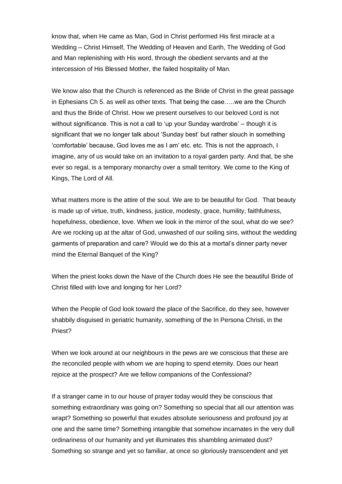know that, when He came as Man, God in Christ performed His first miracle at a Wedding – Christ Himself, The Wedding of Heaven and Earth, The Wedding of God and Man replenishing with His word, through the obedient servants and at the intercession of His Blessed Mother, the failed hospitality of Man.

We know also that the Church is referenced as the Bride of Christ in the great passage in Ephesians Ch 5. as well as other texts. That being the case…..we are the Church and thus the Bride of Christ. How we present ourselves to our beloved Lord is not without significance. This is not a call to 'up your Sunday wardrobe' – though it is significant that we no longer talk about 'Sunday best' but rather slouch in something 'comfortable' because, God loves me as I am' etc. etc. This is not the approach, I imagine, any of us would take on an invitation to a royal garden party. And that, be she ever so regal, is a temporary monarchy over a small territory. We come to the King of Kings, The Lord of All.

What matters more is the attire of the soul. We are to be beautiful for God. That beauty is made up of virtue, truth, kindness, justice, modesty, grace, humility, faithfulness, hopefulness, obedience, love. When we look in the mirror of the soul, what do we see? Are we rocking up at the altar of God, unwashed of our soiling sins, without the wedding garments of preparation and care? Would we do this at a mortal's dinner party never mind the Eternal Banquet of the King?

When the priest looks down the Nave of the Church does He see the beautiful Bride of Christ filled with love and longing for her Lord?

When the People of God look toward the place of the Sacrifice, do they see, however shabbily disguised in geriatric humanity, something of the In Persona Christi, in the Priest?

When we look around at our neighbours in the pews are we conscious that these are the reconciled people with whom we are hoping to spend eternity. Does our heart rejoice at the prospect? Are we fellow companions of the Confessional?

If a stranger came in to our house of prayer today would they be conscious that something extraordinary was going on? Something so special that all our attention was wrapt? Something so powerful that exudes absolute seriousness and profound joy at one and the same time? Something intangible that somehow incarnates in the very dull ordinariness of our humanity and yet illuminates this shambling animated dust? Something so strange and yet so familiar, at once so gloriously transcendent and yet